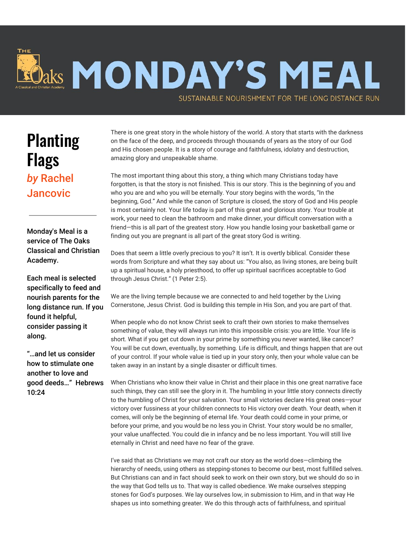

## **Planting** Flags *by* Rachel **Jancovic**

Monday's Meal is a service of The Oaks Classical and Christian Academy.

Each meal is selected specifically to feed and nourish parents for the long distance run. If you found it helpful, consider passing it along.

"…and let us consider how to stimulate one another to love and good deeds…" Hebrews 10:24

There is one great story in the whole history of the world. A story that starts with the darkness on the face of the deep, and proceeds through thousands of years as the story of our God and His chosen people. It is a story of courage and faithfulness, idolatry and destruction, amazing glory and unspeakable shame.

The most important thing about this story, a thing which many Christians today have forgotten, is that the story is not finished. This is our story. This is the beginning of you and who you are and who you will be eternally. Your story begins with the words, "In the beginning, God." And while the canon of Scripture is closed, the story of God and His people is most certainly not. Your life today is part of this great and glorious story. Your trouble at work, your need to clean the bathroom and make dinner, your difficult conversation with a friend—this is all part of the greatest story. How you handle losing your basketball game or finding out you are pregnant is all part of the great story God is writing.

Does that seem a little overly precious to you? It isn't. It is overtly biblical. Consider these words from Scripture and what they say about us: "You also, as living stones, are being built up a spiritual house, a holy priesthood, to offer up spiritual sacrifices acceptable to God through Jesus Christ." (1 Peter 2:5).

We are the living temple because we are connected to and held together by the Living Cornerstone, Jesus Christ. God is building this temple in His Son, and you are part of that.

When people who do not know Christ seek to craft their own stories to make themselves something of value, they will always run into this impossible crisis: you are little. Your life is short. What if you get cut down in your prime by something you never wanted, like cancer? You will be cut down, eventually, by something. Life is difficult, and things happen that are out of your control. If your whole value is tied up in your story only, then your whole value can be taken away in an instant by a single disaster or difficult times.

When Christians who know their value in Christ and their place in this one great narrative face such things, they can still see the glory in it. The humbling in your little story connects directly to the humbling of Christ for your salvation. Your small victories declare His great ones—your victory over fussiness at your children connects to His victory over death. Your death, when it comes, will only be the beginning of eternal life. Your death could come in your prime, or before your prime, and you would be no less you in Christ. Your story would be no smaller, your value unaffected. You could die in infancy and be no less important. You will still live eternally in Christ and need have no fear of the grave.

I've said that as Christians we may not craft our story as the world does—climbing the hierarchy of needs, using others as stepping-stones to become our best, most fulfilled selves. But Christians can and in fact should seek to work on their own story, but we should do so in the way that God tells us to. That way is called obedience. We make ourselves stepping stones for God's purposes. We lay ourselves low, in submission to Him, and in that way He shapes us into something greater. We do this through acts of faithfulness, and spiritual